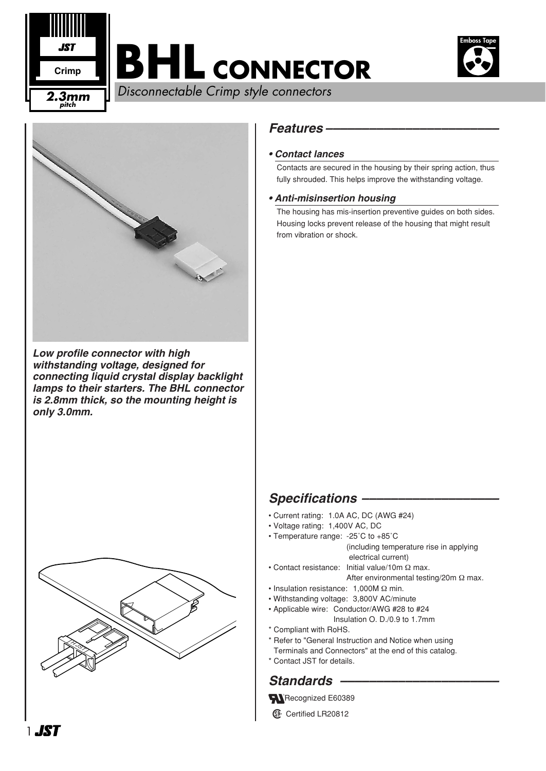

# **BHL CONNECTOR**



Disconnectable Crimp style connectors **2.3mm**



*Low profile connector with high withstanding voltage, designed for connecting liquid crystal display backlight lamps to their starters. The BHL connector is 2.8mm thick, so the mounting height is only 3.0mm.* 



#### *Features ––––––––––––––––––––––––*

#### *• Contact lances*

Contacts are secured in the housing by their spring action, thus fully shrouded. This helps improve the withstanding voltage.

#### *• Anti-misinsertion housing*

The housing has mis-insertion preventive guides on both sides. Housing locks prevent release of the housing that might result from vibration or shock.

#### *Specifications –––––––––––––––––––*

- Current rating: 1.0A AC, DC (AWG #24)
- Voltage rating: 1,400V AC, DC
- Temperature range: -25˚C to +85˚C (including temperature rise in applying electrical current)
- Contact resistance: Initial value/10m Ω max. After environmental testing/20m Ω max.
- Insulation resistance: 1,000M Ω min.
- Withstanding voltage: 3,800V AC/minute
- Applicable wire: Conductor/AWG #28 to #24 Insulation O. D./0.9 to 1.7mm
- \* Compliant with RoHS.
- \* Refer to "General Instruction and Notice when using
- Terminals and Connectors" at the end of this catalog.
- \* Contact JST for details.

### *Standards ––––––––––––––––––––––*

- Recognized E60389
- **1** Certified LR20812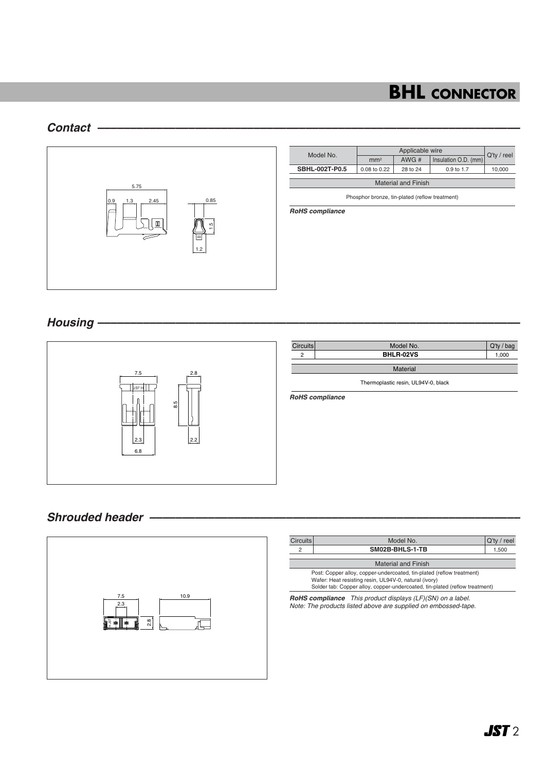## **BHL CONNECTOR**

#### *Contact –––––––––––––––––––––––––––––––––––––––––––––––––––––––––––––––––*



| Model No.                                      | Applicable wire |          |                       |             |  |  |  |
|------------------------------------------------|-----------------|----------|-----------------------|-------------|--|--|--|
|                                                | mm <sup>2</sup> | AWG#     | Insulation O.D. (mm)  | Q'ty / reel |  |  |  |
| SBHL-002T-P0.5                                 | 0.08 to 0.22    | 28 to 24 | $0.9 \text{ to } 1.7$ | 10,000      |  |  |  |
| <b>Material and Finish</b>                     |                 |          |                       |             |  |  |  |
| Phosphor bronze, tin-plated (reflow treatment) |                 |          |                       |             |  |  |  |

*RoHS compliance*

#### *Housing –––––––––––––––––––––––––––––––––––––––––––––––––––––––––––––––––*



#### *Shrouded header –––––––––––––––––––––––––––––––––––––––––––––––––––––––––*



| Circuits                                                                                                                                                                                                      | Model No.       | $Q'$ ty / reel |  |  |  |  |
|---------------------------------------------------------------------------------------------------------------------------------------------------------------------------------------------------------------|-----------------|----------------|--|--|--|--|
| 2                                                                                                                                                                                                             | SM02B-BHLS-1-TB |                |  |  |  |  |
| <b>Material and Finish</b>                                                                                                                                                                                    |                 |                |  |  |  |  |
| Post: Copper alloy, copper-undercoated, tin-plated (reflow treatment)<br>Wafer: Heat resisting resin, UL94V-0, natural (ivory)<br>Solder tab: Copper alloy, copper-undercoated, tin-plated (reflow treatment) |                 |                |  |  |  |  |

*RoHS compliance This product displays (LF)(SN) on a label. Note: The products listed above are supplied on embossed-tape.*